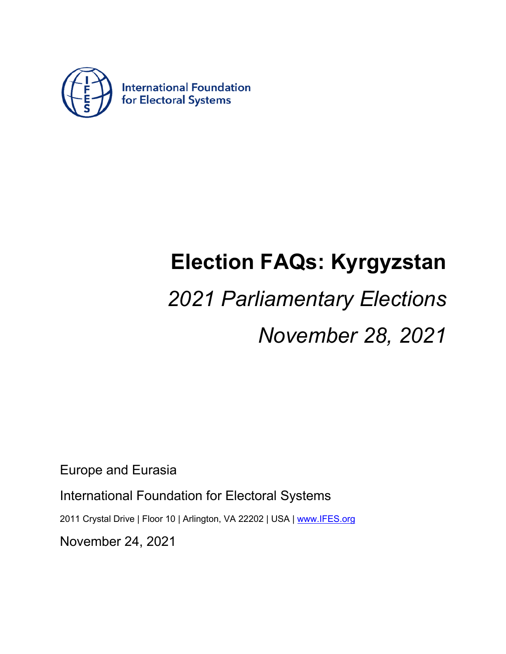

## **Election FAQs: Kyrgyzstan**

# *2021 Parliamentary Elections*

*November 28, 2021*

Europe and Eurasia

International Foundation for Electoral Systems

2011 Crystal Drive | Floor 10 | Arlington, VA 22202 | USA | www.IFES.org

November 24, 2021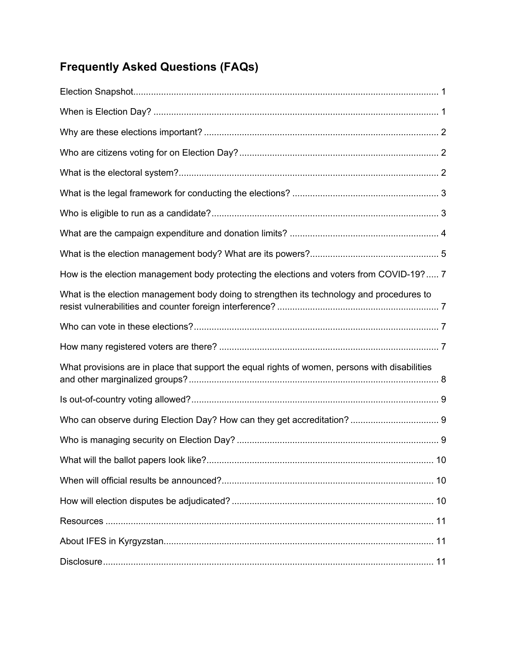### **Frequently Asked Questions (FAQs)**

| How is the election management body protecting the elections and voters from COVID-19? 7       |  |
|------------------------------------------------------------------------------------------------|--|
| What is the election management body doing to strengthen its technology and procedures to      |  |
|                                                                                                |  |
|                                                                                                |  |
| What provisions are in place that support the equal rights of women, persons with disabilities |  |
|                                                                                                |  |
|                                                                                                |  |
|                                                                                                |  |
|                                                                                                |  |
|                                                                                                |  |
|                                                                                                |  |
|                                                                                                |  |
|                                                                                                |  |
|                                                                                                |  |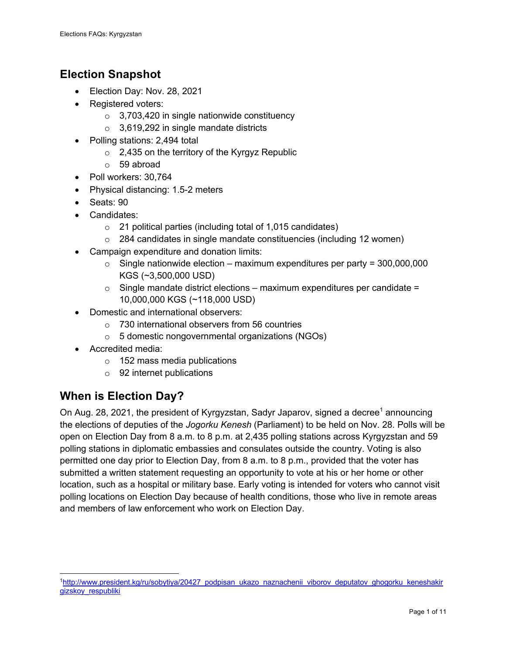#### **Election Snapshot**

- Election Day: Nov. 28, 2021
- Registered voters:
	- o 3,703,420 in single nationwide constituency
	- o 3,619,292 in single mandate districts
- Polling stations: 2,494 total
	- $\circ$  2,435 on the territory of the Kyrgyz Republic
	- o 59 abroad
- Poll workers: 30,764
- Physical distancing: 1.5-2 meters
- Seats: 90
- Candidates:
	- o 21 political parties (including total of 1,015 candidates)
	- $\circ$  284 candidates in single mandate constituencies (including 12 women)
- Campaign expenditure and donation limits:
	- $\circ$  Single nationwide election maximum expenditures per party = 300,000,000 KGS (~3,500,000 USD)
	- $\circ$  Single mandate district elections maximum expenditures per candidate = 10,000,000 KGS (~118,000 USD)
- Domestic and international observers:
	- o 730 international observers from 56 countries
	- o 5 domestic nongovernmental organizations (NGOs)
- Accredited media:
	- o 152 mass media publications
	- o 92 internet publications

#### **When is Election Day?**

On Aug. 28, 2021, the president of Kyrgyzstan, Sadyr Japarov, signed a decree<sup>1</sup> announcing the elections of deputies of the *Jogorku Kenesh* (Parliament) to be held on Nov. 28. Polls will be open on Election Day from 8 a.m. to 8 p.m. at 2,435 polling stations across Kyrgyzstan and 59 polling stations in diplomatic embassies and consulates outside the country. Voting is also permitted one day prior to Election Day, from 8 a.m. to 8 p.m., provided that the voter has submitted a written statement requesting an opportunity to vote at his or her home or other location, such as a hospital or military base. Early voting is intended for voters who cannot visit polling locations on Election Day because of health conditions, those who live in remote areas and members of law enforcement who work on Election Day.

<sup>1</sup>http://www.president.kg/ru/sobytiya/20427\_podpisan\_ukazo\_naznachenii\_viborov\_deputatov\_ghogorku\_keneshakir gizskoy\_respubliki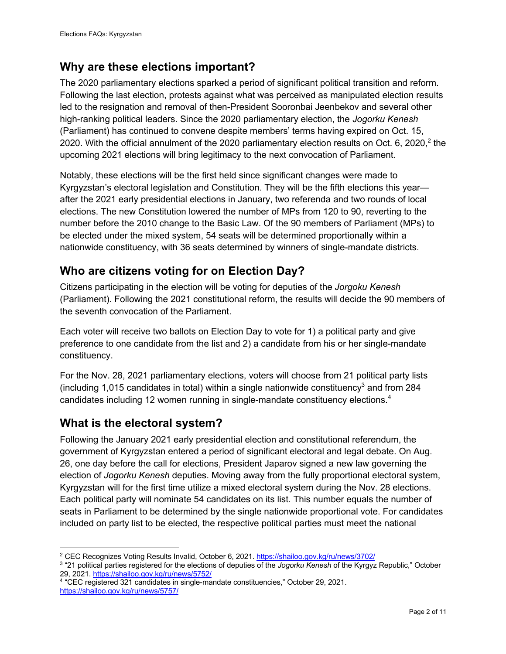#### **Why are these elections important?**

The 2020 parliamentary elections sparked a period of significant political transition and reform. Following the last election, protests against what was perceived as manipulated election results led to the resignation and removal of then-President Sooronbai Jeenbekov and several other high-ranking political leaders. Since the 2020 parliamentary election, the *Jogorku Kenesh* (Parliament) has continued to convene despite members' terms having expired on Oct. 15, 2020. With the official annulment of the 2020 parliamentary election results on Oct. 6, 2020,  $2$  the upcoming 2021 elections will bring legitimacy to the next convocation of Parliament.

Notably, these elections will be the first held since significant changes were made to Kyrgyzstan's electoral legislation and Constitution. They will be the fifth elections this year after the 2021 early presidential elections in January, two referenda and two rounds of local elections. The new Constitution lowered the number of MPs from 120 to 90, reverting to the number before the 2010 change to the Basic Law. Of the 90 members of Parliament (MPs) to be elected under the mixed system, 54 seats will be determined proportionally within a nationwide constituency, with 36 seats determined by winners of single-mandate districts.

#### **Who are citizens voting for on Election Day?**

Citizens participating in the election will be voting for deputies of the *Jorgoku Kenesh*  (Parliament). Following the 2021 constitutional reform, the results will decide the 90 members of the seventh convocation of the Parliament.

Each voter will receive two ballots on Election Day to vote for 1) a political party and give preference to one candidate from the list and 2) a candidate from his or her single-mandate constituency.

For the Nov. 28, 2021 parliamentary elections, voters will choose from 21 political party lists (including 1,015 candidates in total) within a single nationwide constituency<sup>3</sup> and from 284 candidates including 12 women running in single-mandate constituency elections.<sup>4</sup>

#### **What is the electoral system?**

Following the January 2021 early presidential election and constitutional referendum, the government of Kyrgyzstan entered a period of significant electoral and legal debate. On Aug. 26, one day before the call for elections, President Japarov signed a new law governing the election of *Jogorku Kenesh* deputies. Moving away from the fully proportional electoral system, Kyrgyzstan will for the first time utilize a mixed electoral system during the Nov. 28 elections. Each political party will nominate 54 candidates on its list. This number equals the number of seats in Parliament to be determined by the single nationwide proportional vote. For candidates included on party list to be elected, the respective political parties must meet the national

<sup>&</sup>lt;sup>2</sup> CEC Recognizes Voting Results Invalid, October 6, 2021. https://shailoo.gov.kg/ru/news/3702/

<sup>3</sup> "21 political parties registered for the elections of deputies of the *Jogorku Kenesh* of the Kyrgyz Republic," October 29, 2021. https://shailoo.gov.kg/ru/news/5752/

<sup>4 &</sup>quot;CEC registered 321 candidates in single-mandate constituencies," October 29, 2021. https://shailoo.gov.kg/ru/news/5757/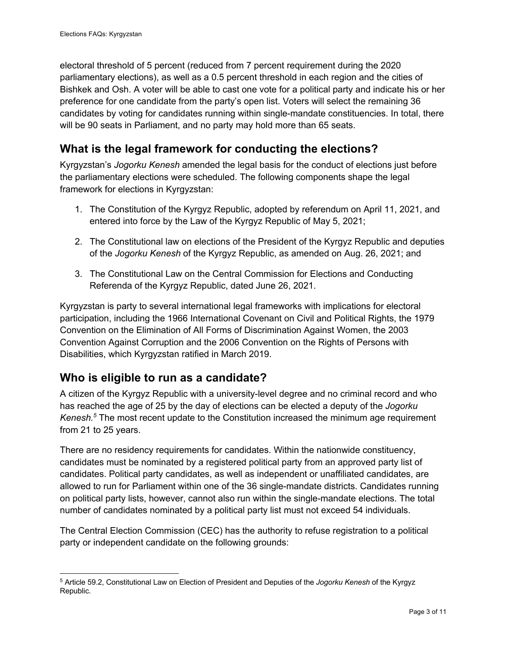electoral threshold of 5 percent (reduced from 7 percent requirement during the 2020 parliamentary elections), as well as a 0.5 percent threshold in each region and the cities of Bishkek and Osh. A voter will be able to cast one vote for a political party and indicate his or her preference for one candidate from the party's open list. Voters will select the remaining 36 candidates by voting for candidates running within single-mandate constituencies. In total, there will be 90 seats in Parliament, and no party may hold more than 65 seats.

#### **What is the legal framework for conducting the elections?**

Kyrgyzstan's *Jogorku Kenesh* amended the legal basis for the conduct of elections just before the parliamentary elections were scheduled. The following components shape the legal framework for elections in Kyrgyzstan:

- 1. The Constitution of the Kyrgyz Republic, adopted by referendum on April 11, 2021, and entered into force by the Law of the Kyrgyz Republic of May 5, 2021;
- 2. The Constitutional law on elections of the President of the Kyrgyz Republic and deputies of the *Jogorku Kenesh* of the Kyrgyz Republic, as amended on Aug. 26, 2021; and
- 3. The Constitutional Law on the Central Commission for Elections and Conducting Referenda of the Kyrgyz Republic, dated June 26, 2021.

Kyrgyzstan is party to several international legal frameworks with implications for electoral participation, including the 1966 International Covenant on Civil and Political Rights, the 1979 Convention on the Elimination of All Forms of Discrimination Against Women, the 2003 Convention Against Corruption and the 2006 Convention on the Rights of Persons with Disabilities, which Kyrgyzstan ratified in March 2019.

#### **Who is eligible to run as a candidate?**

A citizen of the Kyrgyz Republic with a university-level degree and no criminal record and who has reached the age of 25 by the day of elections can be elected a deputy of the *Jogorku Kenesh.5* The most recent update to the Constitution increased the minimum age requirement from 21 to 25 years.

There are no residency requirements for candidates. Within the nationwide constituency, candidates must be nominated by a registered political party from an approved party list of candidates. Political party candidates, as well as independent or unaffiliated candidates, are allowed to run for Parliament within one of the 36 single-mandate districts. Candidates running on political party lists, however, cannot also run within the single-mandate elections. The total number of candidates nominated by a political party list must not exceed 54 individuals.

The Central Election Commission (CEC) has the authority to refuse registration to a political party or independent candidate on the following grounds:

<sup>5</sup> Article 59.2, Constitutional Law on Election of President and Deputies of the *Jogorku Kenesh* of the Kyrgyz Republic.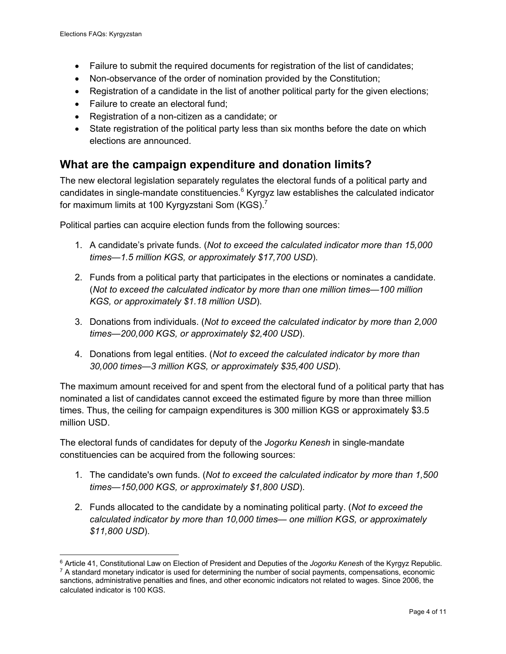- Failure to submit the required documents for registration of the list of candidates;
- Non-observance of the order of nomination provided by the Constitution:
- Registration of a candidate in the list of another political party for the given elections;
- Failure to create an electoral fund;
- Registration of a non-citizen as a candidate; or
- State registration of the political party less than six months before the date on which elections are announced.

#### **What are the campaign expenditure and donation limits?**

The new electoral legislation separately regulates the electoral funds of a political party and candidates in single-mandate constituencies. $6$  Kyrgyz law establishes the calculated indicator for maximum limits at 100 Kyrgyzstani Som (KGS).<sup>7</sup>

Political parties can acquire election funds from the following sources:

- 1. A candidate's private funds. (*Not to exceed the calculated indicator more than 15,000 times—1.5 million KGS, or approximately \$17,700 USD*).
- 2. Funds from a political party that participates in the elections or nominates a candidate. (*Not to exceed the calculated indicator by more than one million times—100 million KGS, or approximately \$1.18 million USD*).
- 3. Donations from individuals. (*Not to exceed the calculated indicator by more than 2,000 times—200,000 KGS, or approximately \$2,400 USD*).
- 4. Donations from legal entities. (*Not to exceed the calculated indicator by more than 30,000 times—3 million KGS, or approximately \$35,400 USD*).

The maximum amount received for and spent from the electoral fund of a political party that has nominated a list of candidates cannot exceed the estimated figure by more than three million times. Thus, the ceiling for campaign expenditures is 300 million KGS or approximately \$3.5 million USD.

The electoral funds of candidates for deputy of the *Jogorku Kenesh* in single-mandate constituencies can be acquired from the following sources:

- 1. The candidate's own funds. (*Not to exceed the calculated indicator by more than 1,500 times—150,000 KGS, or approximately \$1,800 USD*).
- 2. Funds allocated to the candidate by a nominating political party. (*Not to exceed the calculated indicator by more than 10,000 times— one million KGS, or approximately \$11,800 USD*).

<sup>6</sup> Article 41, Constitutional Law on Election of President and Deputies of the *Jogorku Kenes*h of the Kyrgyz Republic. <sup>7</sup> A standard monetary indicator is used for determining the number of social payments, compensations, economic sanctions, administrative penalties and fines, and other economic indicators not related to wages. Since 2006, the calculated indicator is 100 KGS.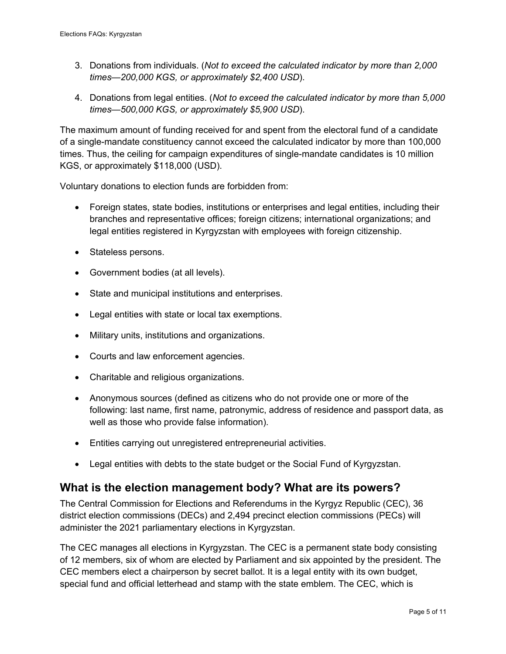- 3. Donations from individuals. (*Not to exceed the calculated indicator by more than 2,000 times—200,000 KGS, or approximately \$2,400 USD*).
- 4. Donations from legal entities. (*Not to exceed the calculated indicator by more than 5,000 times—500,000 KGS, or approximately \$5,900 USD*).

The maximum amount of funding received for and spent from the electoral fund of a candidate of a single-mandate constituency cannot exceed the calculated indicator by more than 100,000 times. Thus, the ceiling for campaign expenditures of single-mandate candidates is 10 million KGS, or approximately \$118,000 (USD).

Voluntary donations to election funds are forbidden from:

- Foreign states, state bodies, institutions or enterprises and legal entities, including their branches and representative offices; foreign citizens; international organizations; and legal entities registered in Kyrgyzstan with employees with foreign citizenship.
- Stateless persons.
- Government bodies (at all levels).
- State and municipal institutions and enterprises.
- Legal entities with state or local tax exemptions.
- Military units, institutions and organizations.
- Courts and law enforcement agencies.
- Charitable and religious organizations.
- Anonymous sources (defined as citizens who do not provide one or more of the following: last name, first name, patronymic, address of residence and passport data, as well as those who provide false information).
- Entities carrying out unregistered entrepreneurial activities.
- Legal entities with debts to the state budget or the Social Fund of Kyrgyzstan.

#### **What is the election management body? What are its powers?**

The Central Commission for Elections and Referendums in the Kyrgyz Republic (CEC), 36 district election commissions (DECs) and 2,494 precinct election commissions (PECs) will administer the 2021 parliamentary elections in Kyrgyzstan.

The CEC manages all elections in Kyrgyzstan. The CEC is a permanent state body consisting of 12 members, six of whom are elected by Parliament and six appointed by the president. The CEC members elect a chairperson by secret ballot. It is a legal entity with its own budget, special fund and official letterhead and stamp with the state emblem. The CEC, which is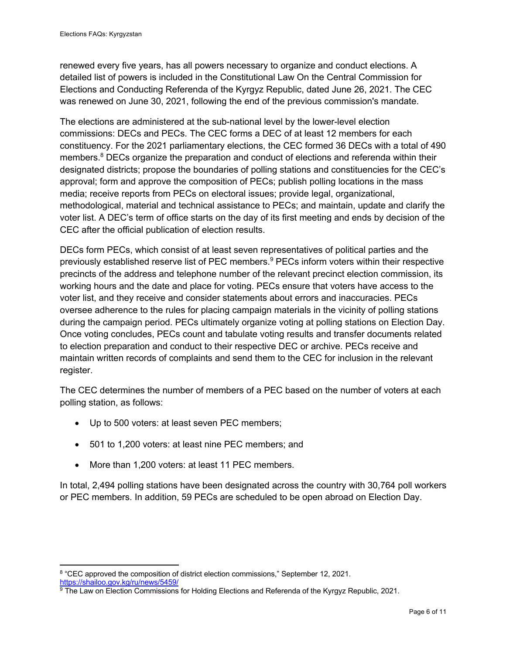renewed every five years, has all powers necessary to organize and conduct elections. A detailed list of powers is included in the Constitutional Law On the Central Commission for Elections and Conducting Referenda of the Kyrgyz Republic, dated June 26, 2021. The CEC was renewed on June 30, 2021, following the end of the previous commission's mandate.

The elections are administered at the sub-national level by the lower-level election commissions: DECs and PECs. The CEC forms a DEC of at least 12 members for each constituency. For the 2021 parliamentary elections, the CEC formed 36 DECs with a total of 490 members.<sup>8</sup> DECs organize the preparation and conduct of elections and referenda within their designated districts; propose the boundaries of polling stations and constituencies for the CEC's approval; form and approve the composition of PECs; publish polling locations in the mass media; receive reports from PECs on electoral issues; provide legal, organizational, methodological, material and technical assistance to PECs; and maintain, update and clarify the voter list. A DEC's term of office starts on the day of its first meeting and ends by decision of the CEC after the official publication of election results.

DECs form PECs, which consist of at least seven representatives of political parties and the previously established reserve list of PEC members.<sup>9</sup> PECs inform voters within their respective precincts of the address and telephone number of the relevant precinct election commission, its working hours and the date and place for voting. PECs ensure that voters have access to the voter list, and they receive and consider statements about errors and inaccuracies. PECs oversee adherence to the rules for placing campaign materials in the vicinity of polling stations during the campaign period. PECs ultimately organize voting at polling stations on Election Day. Once voting concludes, PECs count and tabulate voting results and transfer documents related to election preparation and conduct to their respective DEC or archive. PECs receive and maintain written records of complaints and send them to the CEC for inclusion in the relevant register.

The CEC determines the number of members of a PEC based on the number of voters at each polling station, as follows:

- Up to 500 voters: at least seven PEC members;
- 501 to 1,200 voters: at least nine PEC members; and
- More than 1,200 voters: at least 11 PEC members.

In total, 2,494 polling stations have been designated across the country with 30,764 poll workers or PEC members. In addition, 59 PECs are scheduled to be open abroad on Election Day.

<sup>&</sup>lt;sup>8</sup> "CEC approved the composition of district election commissions," September 12, 2021.

https://shailoo.gov.kg/ru/news/5459/

<sup>&</sup>lt;sup>9</sup> The Law on Election Commissions for Holding Elections and Referenda of the Kyrgyz Republic, 2021.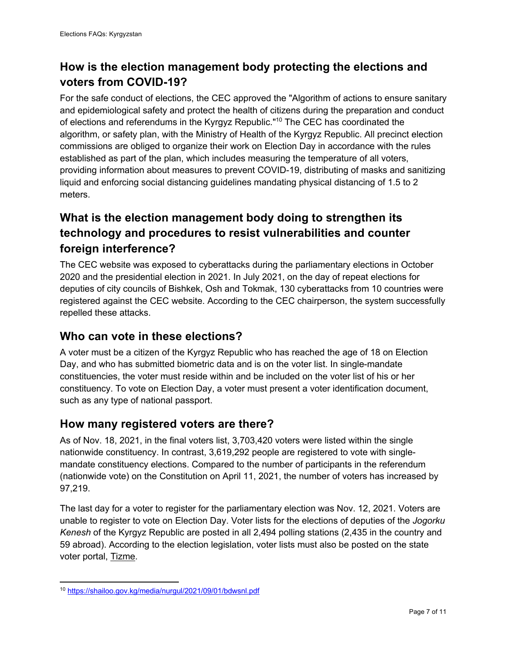#### **How is the election management body protecting the elections and voters from COVID-19?**

For the safe conduct of elections, the CEC approved the "Algorithm of actions to ensure sanitary and epidemiological safety and protect the health of citizens during the preparation and conduct of elections and referendums in the Kyrgyz Republic."<sup>10</sup> The CEC has coordinated the algorithm, or safety plan, with the Ministry of Health of the Kyrgyz Republic. All precinct election commissions are obliged to organize their work on Election Day in accordance with the rules established as part of the plan, which includes measuring the temperature of all voters, providing information about measures to prevent COVID-19, distributing of masks and sanitizing liquid and enforcing social distancing guidelines mandating physical distancing of 1.5 to 2 meters.

#### **What is the election management body doing to strengthen its technology and procedures to resist vulnerabilities and counter foreign interference?**

The CEC website was exposed to cyberattacks during the parliamentary elections in October 2020 and the presidential election in 2021. In July 2021, on the day of repeat elections for deputies of city councils of Bishkek, Osh and Tokmak, 130 cyberattacks from 10 countries were registered against the CEC website. According to the CEC chairperson, the system successfully repelled these attacks.

#### **Who can vote in these elections?**

A voter must be a citizen of the Kyrgyz Republic who has reached the age of 18 on Election Day, and who has submitted biometric data and is on the voter list. In single-mandate constituencies, the voter must reside within and be included on the voter list of his or her constituency. To vote on Election Day, a voter must present a voter identification document, such as any type of national passport.

#### **How many registered voters are there?**

As of Nov. 18, 2021, in the final voters list, 3,703,420 voters were listed within the single nationwide constituency. In contrast, 3,619,292 people are registered to vote with singlemandate constituency elections. Compared to the number of participants in the referendum (nationwide vote) on the Constitution on April 11, 2021, the number of voters has increased by 97,219.

The last day for a voter to register for the parliamentary election was Nov. 12, 2021. Voters are unable to register to vote on Election Day. Voter lists for the elections of deputies of the *Jogorku Kenesh* of the Kyrgyz Republic are posted in all 2,494 polling stations (2,435 in the country and 59 abroad). According to the election legislation, voter lists must also be posted on the state voter portal, Tizme.

<sup>10</sup> https://shailoo.gov.kg/media/nurgul/2021/09/01/bdwsnl.pdf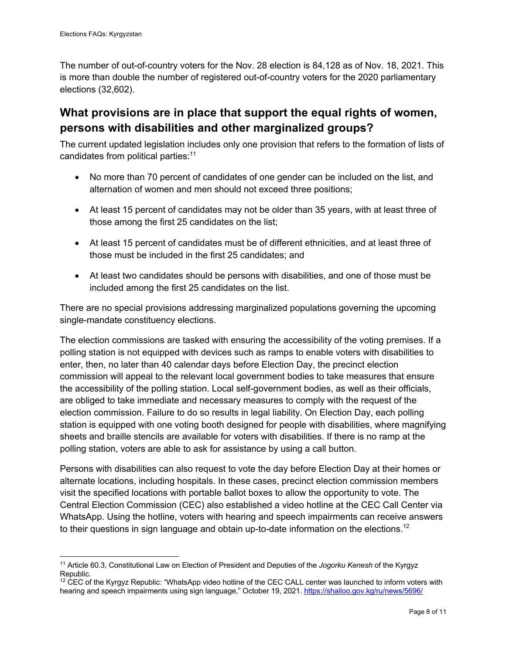The number of out-of-country voters for the Nov. 28 election is 84,128 as of Nov. 18, 2021. This is more than double the number of registered out-of-country voters for the 2020 parliamentary elections (32,602).

#### **What provisions are in place that support the equal rights of women, persons with disabilities and other marginalized groups?**

The current updated legislation includes only one provision that refers to the formation of lists of candidates from political parties:<sup>11</sup>

- No more than 70 percent of candidates of one gender can be included on the list, and alternation of women and men should not exceed three positions;
- At least 15 percent of candidates may not be older than 35 years, with at least three of those among the first 25 candidates on the list;
- At least 15 percent of candidates must be of different ethnicities, and at least three of those must be included in the first 25 candidates; and
- At least two candidates should be persons with disabilities, and one of those must be included among the first 25 candidates on the list.

There are no special provisions addressing marginalized populations governing the upcoming single-mandate constituency elections.

The election commissions are tasked with ensuring the accessibility of the voting premises. If a polling station is not equipped with devices such as ramps to enable voters with disabilities to enter, then, no later than 40 calendar days before Election Day, the precinct election commission will appeal to the relevant local government bodies to take measures that ensure the accessibility of the polling station. Local self-government bodies, as well as their officials, are obliged to take immediate and necessary measures to comply with the request of the election commission. Failure to do so results in legal liability. On Election Day, each polling station is equipped with one voting booth designed for people with disabilities, where magnifying sheets and braille stencils are available for voters with disabilities. If there is no ramp at the polling station, voters are able to ask for assistance by using a call button.

Persons with disabilities can also request to vote the day before Election Day at their homes or alternate locations, including hospitals. In these cases, precinct election commission members visit the specified locations with portable ballot boxes to allow the opportunity to vote. The Central Election Commission (CEC) also established a video hotline at the CEC Call Center via WhatsApp. Using the hotline, voters with hearing and speech impairments can receive answers to their questions in sign language and obtain up-to-date information on the elections.<sup>12</sup>

<sup>11</sup> Article 60.3, Constitutional Law on Election of President and Deputies of the *Jogorku Kenesh* of the Kyrgyz Republic.

 $12$  CEC of the Kyrgyz Republic: "WhatsApp video hotline of the CEC CALL center was launched to inform voters with hearing and speech impairments using sign language," October 19, 2021. https://shailoo.gov.kg/ru/news/5696/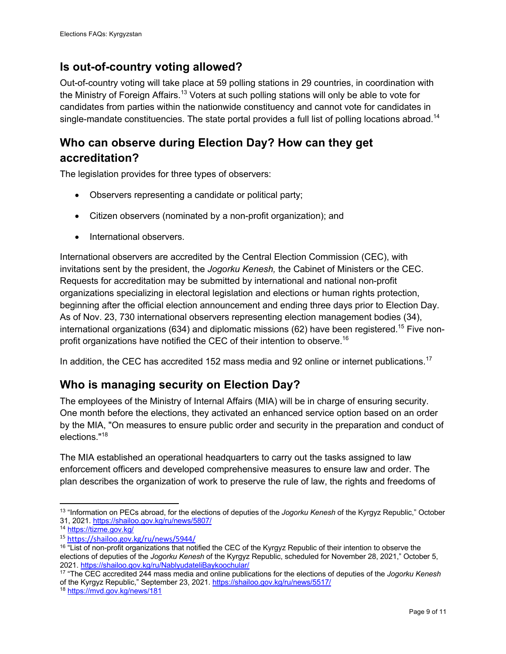#### **Is out-of-country voting allowed?**

Out-of-country voting will take place at 59 polling stations in 29 countries, in coordination with the Ministry of Foreign Affairs.<sup>13</sup> Voters at such polling stations will only be able to vote for candidates from parties within the nationwide constituency and cannot vote for candidates in single-mandate constituencies. The state portal provides a full list of polling locations abroad.<sup>14</sup>

#### **Who can observe during Election Day? How can they get accreditation?**

The legislation provides for three types of observers:

- Observers representing a candidate or political party;
- Citizen observers (nominated by a non-profit organization); and
- International observers.

International observers are accredited by the Central Election Commission (CEC), with invitations sent by the president, the *Jogorku Kenesh,* the Cabinet of Ministers or the CEC. Requests for accreditation may be submitted by international and national non-profit organizations specializing in electoral legislation and elections or human rights protection, beginning after the official election announcement and ending three days prior to Election Day. As of Nov. 23, 730 international observers representing election management bodies (34), international organizations (634) and diplomatic missions (62) have been registered.<sup>15</sup> Five nonprofit organizations have notified the CEC of their intention to observe.<sup>16</sup>

In addition, the CEC has accredited 152 mass media and 92 online or internet publications.<sup>17</sup>

#### **Who is managing security on Election Day?**

The employees of the Ministry of Internal Affairs (MIA) will be in charge of ensuring security. One month before the elections, they activated an enhanced service option based on an order by the MIA, "On measures to ensure public order and security in the preparation and conduct of elections."<sup>18</sup>

The MIA established an operational headquarters to carry out the tasks assigned to law enforcement officers and developed comprehensive measures to ensure law and order. The plan describes the organization of work to preserve the rule of law, the rights and freedoms of

<sup>13</sup> "Information on PECs abroad, for the elections of deputies of the *Jogorku Kenesh* of the Kyrgyz Republic," October 31, 2021. https://shailoo.gov.kg/ru/news/5807/

<sup>14</sup> https://tizme.gov.kg/

<sup>15</sup> https://shailoo.gov.kg/ru/news/5944/

<sup>&</sup>lt;sup>16</sup> "List of non-profit organizations that notified the CEC of the Kyrgyz Republic of their intention to observe the elections of deputies of the *Jogorku Kenesh* of the Kyrgyz Republic, scheduled for November 28, 2021," October 5, 2021. https://shailoo.gov.kg/ru/NablyudateliBaykoochular/

<sup>17</sup> "The CEC accredited 244 mass media and online publications for the elections of deputies of the *Jogorku Kenesh*  of the Kyrgyz Republic," September 23, 2021. https://shailoo.gov.kg/ru/news/5517/

<sup>18</sup> https://mvd.gov.kg/news/181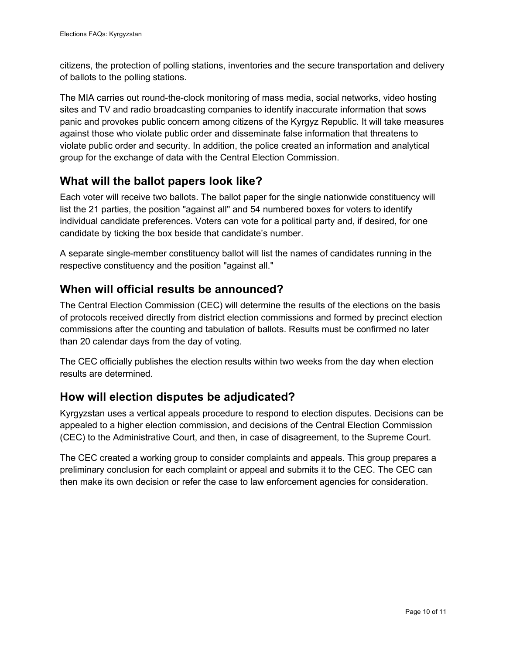citizens, the protection of polling stations, inventories and the secure transportation and delivery of ballots to the polling stations.

The MIA carries out round-the-clock monitoring of mass media, social networks, video hosting sites and TV and radio broadcasting companies to identify inaccurate information that sows panic and provokes public concern among citizens of the Kyrgyz Republic. It will take measures against those who violate public order and disseminate false information that threatens to violate public order and security. In addition, the police created an information and analytical group for the exchange of data with the Central Election Commission.

#### **What will the ballot papers look like?**

Each voter will receive two ballots. The ballot paper for the single nationwide constituency will list the 21 parties, the position "against all" and 54 numbered boxes for voters to identify individual candidate preferences. Voters can vote for a political party and, if desired, for one candidate by ticking the box beside that candidate's number.

A separate single-member constituency ballot will list the names of candidates running in the respective constituency and the position "against all."

#### **When will official results be announced?**

The Central Election Commission (CEC) will determine the results of the elections on the basis of protocols received directly from district election commissions and formed by precinct election commissions after the counting and tabulation of ballots. Results must be confirmed no later than 20 calendar days from the day of voting.

The CEC officially publishes the election results within two weeks from the day when election results are determined.

#### **How will election disputes be adjudicated?**

Kyrgyzstan uses a vertical appeals procedure to respond to election disputes. Decisions can be appealed to a higher election commission, and decisions of the Central Election Commission (CEC) to the Administrative Court, and then, in case of disagreement, to the Supreme Court.

The CEC created a working group to consider complaints and appeals. This group prepares a preliminary conclusion for each complaint or appeal and submits it to the CEC. The CEC can then make its own decision or refer the case to law enforcement agencies for consideration.